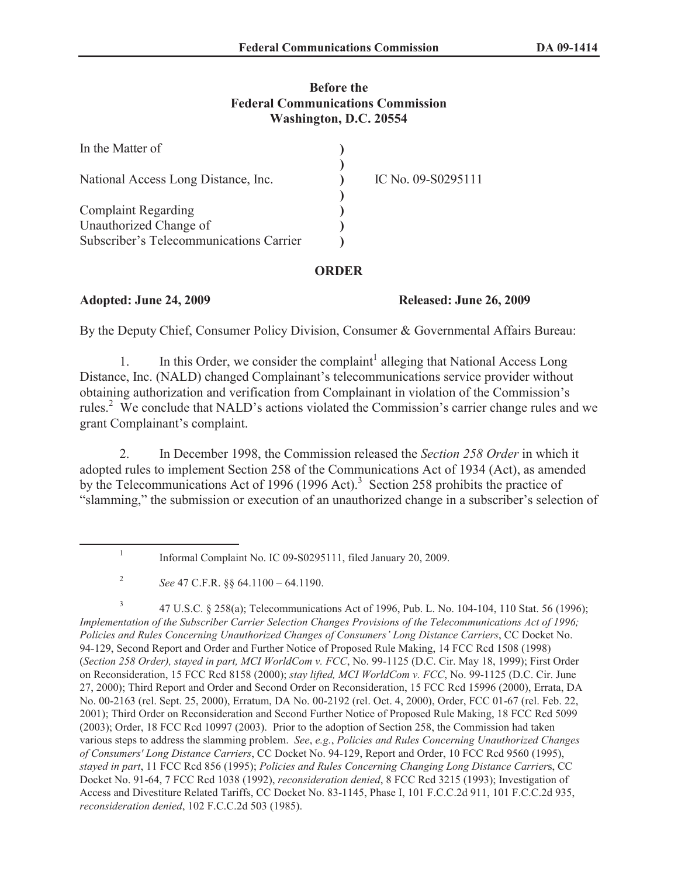## **Before the Federal Communications Commission Washington, D.C. 20554**

| In the Matter of                        |                    |
|-----------------------------------------|--------------------|
| National Access Long Distance, Inc.     | IC No. 09-S0295111 |
| <b>Complaint Regarding</b>              |                    |
| Unauthorized Change of                  |                    |
| Subscriber's Telecommunications Carrier |                    |

## **ORDER**

## **Adopted: June 24, 2009 Released: June 26, 2009**

By the Deputy Chief, Consumer Policy Division, Consumer & Governmental Affairs Bureau:

1. In this Order, we consider the complaint<sup>1</sup> alleging that National Access Long Distance, Inc. (NALD) changed Complainant's telecommunications service provider without obtaining authorization and verification from Complainant in violation of the Commission's rules.<sup>2</sup> We conclude that NALD's actions violated the Commission's carrier change rules and we grant Complainant's complaint.

2. In December 1998, the Commission released the *Section 258 Order* in which it adopted rules to implement Section 258 of the Communications Act of 1934 (Act), as amended by the Telecommunications Act of 1996 (1996 Act).<sup>3</sup> Section 258 prohibits the practice of "slamming," the submission or execution of an unauthorized change in a subscriber's selection of

3 47 U.S.C. § 258(a); Telecommunications Act of 1996, Pub. L. No. 104-104, 110 Stat. 56 (1996); *Implementation of the Subscriber Carrier Selection Changes Provisions of the Telecommunications Act of 1996; Policies and Rules Concerning Unauthorized Changes of Consumers' Long Distance Carriers*, CC Docket No. 94-129, Second Report and Order and Further Notice of Proposed Rule Making, 14 FCC Rcd 1508 (1998) (*Section 258 Order), stayed in part, MCI WorldCom v. FCC*, No. 99-1125 (D.C. Cir. May 18, 1999); First Order on Reconsideration, 15 FCC Rcd 8158 (2000); *stay lifted, MCI WorldCom v. FCC*, No. 99-1125 (D.C. Cir. June 27, 2000); Third Report and Order and Second Order on Reconsideration, 15 FCC Rcd 15996 (2000), Errata, DA No. 00-2163 (rel. Sept. 25, 2000), Erratum, DA No. 00-2192 (rel. Oct. 4, 2000), Order, FCC 01-67 (rel. Feb. 22, 2001); Third Order on Reconsideration and Second Further Notice of Proposed Rule Making, 18 FCC Rcd 5099 (2003); Order, 18 FCC Rcd 10997 (2003). Prior to the adoption of Section 258, the Commission had taken various steps to address the slamming problem. *See*, *e.g.*, *Policies and Rules Concerning Unauthorized Changes of Consumers' Long Distance Carriers*, CC Docket No. 94-129, Report and Order, 10 FCC Rcd 9560 (1995), *stayed in part*, 11 FCC Rcd 856 (1995); *Policies and Rules Concerning Changing Long Distance Carrier*s, CC Docket No. 91-64, 7 FCC Rcd 1038 (1992), *reconsideration denied*, 8 FCC Rcd 3215 (1993); Investigation of Access and Divestiture Related Tariffs, CC Docket No. 83-1145, Phase I, 101 F.C.C.2d 911, 101 F.C.C.2d 935, *reconsideration denied*, 102 F.C.C.2d 503 (1985).

<sup>1</sup> Informal Complaint No. IC 09-S0295111, filed January 20, 2009.

<sup>2</sup> *See* 47 C.F.R. §§ 64.1100 – 64.1190.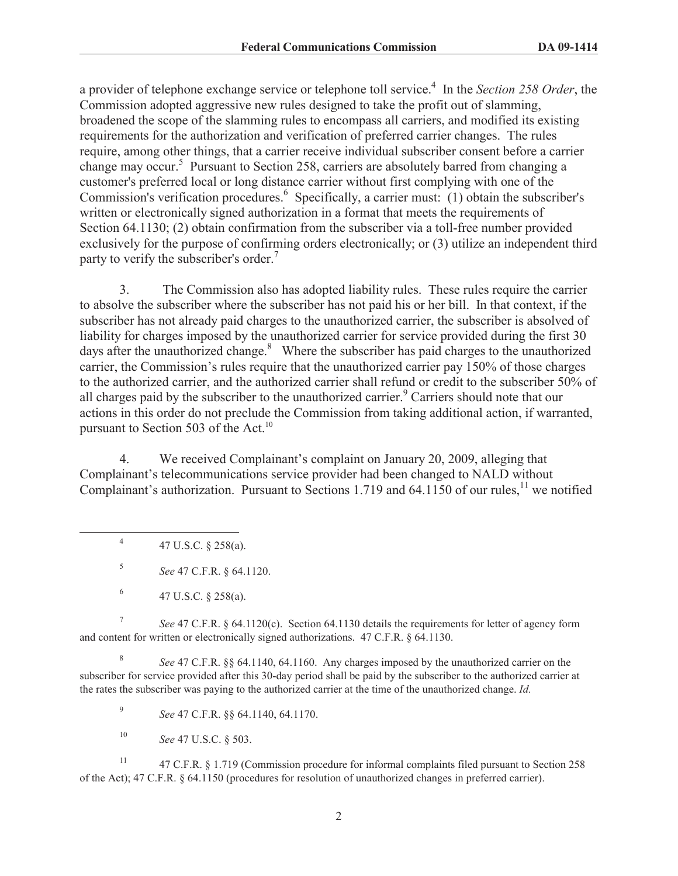a provider of telephone exchange service or telephone toll service.<sup>4</sup> In the *Section 258 Order*, the Commission adopted aggressive new rules designed to take the profit out of slamming, broadened the scope of the slamming rules to encompass all carriers, and modified its existing requirements for the authorization and verification of preferred carrier changes. The rules require, among other things, that a carrier receive individual subscriber consent before a carrier change may occur.<sup>5</sup> Pursuant to Section 258, carriers are absolutely barred from changing a customer's preferred local or long distance carrier without first complying with one of the Commission's verification procedures.<sup>6</sup> Specifically, a carrier must: (1) obtain the subscriber's written or electronically signed authorization in a format that meets the requirements of Section 64.1130; (2) obtain confirmation from the subscriber via a toll-free number provided exclusively for the purpose of confirming orders electronically; or (3) utilize an independent third party to verify the subscriber's order.<sup>7</sup>

3. The Commission also has adopted liability rules. These rules require the carrier to absolve the subscriber where the subscriber has not paid his or her bill. In that context, if the subscriber has not already paid charges to the unauthorized carrier, the subscriber is absolved of liability for charges imposed by the unauthorized carrier for service provided during the first 30 days after the unauthorized change.<sup>8</sup> Where the subscriber has paid charges to the unauthorized carrier, the Commission's rules require that the unauthorized carrier pay 150% of those charges to the authorized carrier, and the authorized carrier shall refund or credit to the subscriber 50% of all charges paid by the subscriber to the unauthorized carrier.<sup>9</sup> Carriers should note that our actions in this order do not preclude the Commission from taking additional action, if warranted, pursuant to Section 503 of the Act. $^{10}$ 

4. We received Complainant's complaint on January 20, 2009, alleging that Complainant's telecommunications service provider had been changed to NALD without Complainant's authorization. Pursuant to Sections 1.719 and 64.1150 of our rules,<sup>11</sup> we notified

4 47 U.S.C. § 258(a).

5 *See* 47 C.F.R. § 64.1120.

7 *See* 47 C.F.R. § 64.1120(c). Section 64.1130 details the requirements for letter of agency form and content for written or electronically signed authorizations. 47 C.F.R. § 64.1130.

8 *See* 47 C.F.R. §§ 64.1140, 64.1160. Any charges imposed by the unauthorized carrier on the subscriber for service provided after this 30-day period shall be paid by the subscriber to the authorized carrier at the rates the subscriber was paying to the authorized carrier at the time of the unauthorized change. *Id.*

9 *See* 47 C.F.R. §§ 64.1140, 64.1170.

<sup>10</sup> *See* 47 U.S.C. § 503.

<sup>11</sup> 47 C.F.R. § 1.719 (Commission procedure for informal complaints filed pursuant to Section 258 of the Act); 47 C.F.R. § 64.1150 (procedures for resolution of unauthorized changes in preferred carrier).

<sup>6</sup> 47 U.S.C. § 258(a).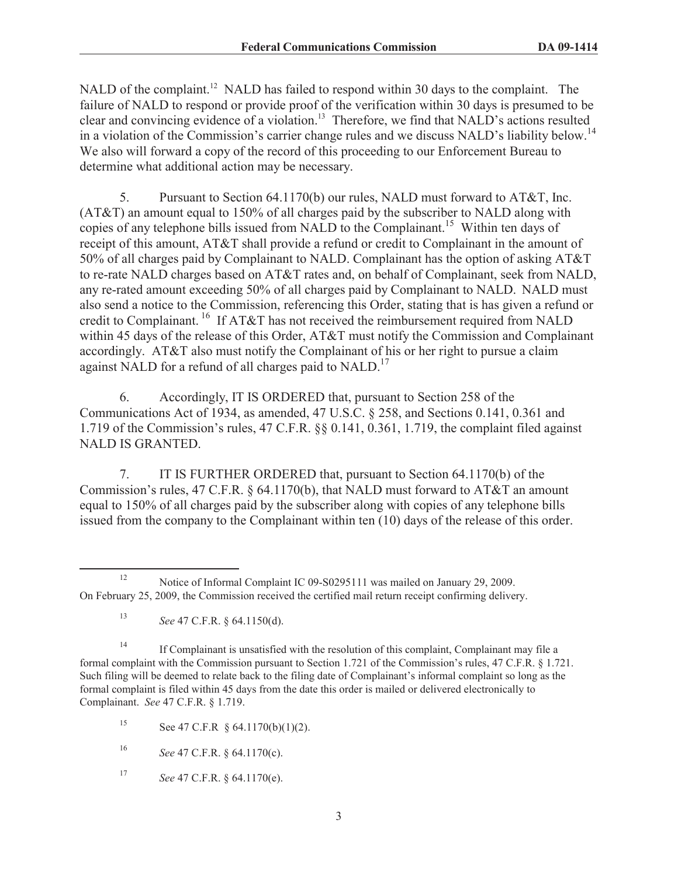NALD of the complaint.<sup>12</sup> NALD has failed to respond within 30 days to the complaint. The failure of NALD to respond or provide proof of the verification within 30 days is presumed to be clear and convincing evidence of a violation.<sup>13</sup> Therefore, we find that NALD's actions resulted in a violation of the Commission's carrier change rules and we discuss NALD's liability below.<sup>14</sup> We also will forward a copy of the record of this proceeding to our Enforcement Bureau to determine what additional action may be necessary.

5. Pursuant to Section 64.1170(b) our rules, NALD must forward to AT&T, Inc. (AT&T) an amount equal to 150% of all charges paid by the subscriber to NALD along with copies of any telephone bills issued from NALD to the Complainant.<sup>15</sup> Within ten days of receipt of this amount, AT&T shall provide a refund or credit to Complainant in the amount of 50% of all charges paid by Complainant to NALD. Complainant has the option of asking AT&T to re-rate NALD charges based on AT&T rates and, on behalf of Complainant, seek from NALD, any re-rated amount exceeding 50% of all charges paid by Complainant to NALD. NALD must also send a notice to the Commission, referencing this Order, stating that is has given a refund or credit to Complainant. <sup>16</sup> If AT&T has not received the reimbursement required from NALD within 45 days of the release of this Order, AT&T must notify the Commission and Complainant accordingly. AT&T also must notify the Complainant of his or her right to pursue a claim against NALD for a refund of all charges paid to NALD.<sup>17</sup>

6. Accordingly, IT IS ORDERED that, pursuant to Section 258 of the Communications Act of 1934, as amended, 47 U.S.C. § 258, and Sections 0.141, 0.361 and 1.719 of the Commission's rules, 47 C.F.R. §§ 0.141, 0.361, 1.719, the complaint filed against NALD IS GRANTED.

7. IT IS FURTHER ORDERED that, pursuant to Section 64.1170(b) of the Commission's rules, 47 C.F.R. § 64.1170(b), that NALD must forward to AT&T an amount equal to 150% of all charges paid by the subscriber along with copies of any telephone bills issued from the company to the Complainant within ten (10) days of the release of this order.

<sup>17</sup> *See* 47 C.F.R. § 64.1170(e).

<sup>&</sup>lt;sup>12</sup> Notice of Informal Complaint IC 09-S0295111 was mailed on January 29, 2009. On February 25, 2009, the Commission received the certified mail return receipt confirming delivery.

<sup>13</sup> *See* 47 C.F.R. § 64.1150(d).

<sup>&</sup>lt;sup>14</sup> If Complainant is unsatisfied with the resolution of this complaint, Complainant may file a formal complaint with the Commission pursuant to Section 1.721 of the Commission's rules, 47 C.F.R. § 1.721. Such filing will be deemed to relate back to the filing date of Complainant's informal complaint so long as the formal complaint is filed within 45 days from the date this order is mailed or delivered electronically to Complainant. *See* 47 C.F.R. § 1.719.

<sup>15</sup> See 47 C.F.R  $§$  64.1170(b)(1)(2).

<sup>16</sup> *See* 47 C.F.R. § 64.1170(c).